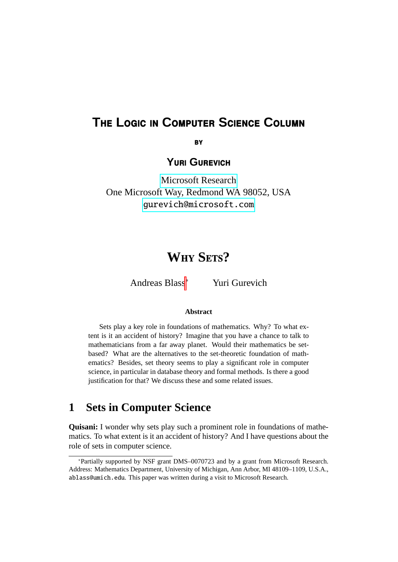# **THE LOGIC IN COMPUTER SCIENCE COLUMN**

**BY** 

**YURI GUREVICH** 

[Microsoft Research](http://research.microsoft.com/) One Microsoft Way, Redmond WA 98052, USA <gurevich@microsoft.com>

# **WHY SETS?**

Andreas Blass<sup>∗</sup> Yuri Gurevich

#### **Abstract**

Sets play a key role in foundations of mathematics. Why? To what extent is it an accident of history? Imagine that you have a chance to talk to mathematicians from a far away planet. Would their mathematics be setbased? What are the alternatives to the set-theoretic foundation of mathematics? Besides, set theory seems to play a significant role in computer science, in particular in database theory and formal methods. Is there a good justification for that? We discuss these and some related issues.

# **1 Sets in Computer Science**

**Quisani:** I wonder why sets play such a prominent role in foundations of mathematics. To what extent is it an accident of history? And I have questions about the role of sets in computer science.

<sup>∗</sup>Partially supported by NSF grant DMS–0070723 and by a grant from Microsoft Research. Address: Mathematics Department, University of Michigan, Ann Arbor, MI 48109–1109, U.S.A., ablass@umich.edu. This paper was written during a visit to Microsoft Research.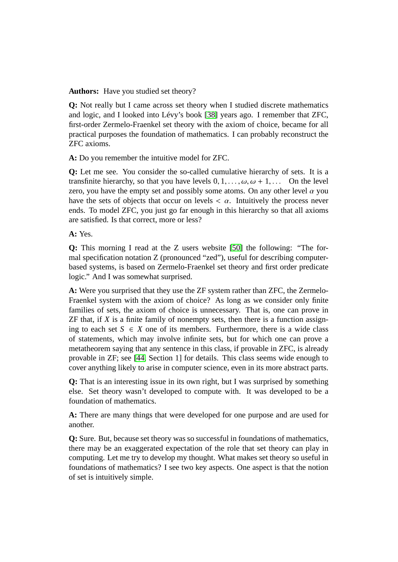**Authors:** Have you studied set theory?

**Q:** Not really but I came across set theory when I studied discrete mathematics and logic, and I looked into Lévy's book [\[38\]](#page-16-0) years ago. I remember that ZFC, first-order Zermelo-Fraenkel set theory with the axiom of choice, became for all practical purposes the foundation of mathematics. I can probably reconstruct the ZFC axioms.

**A:** Do you remember the intuitive model for ZFC.

**Q:** Let me see. You consider the so-called cumulative hierarchy of sets. It is a transfinite hierarchy, so that you have levels  $0, 1, \ldots, \omega, \omega + 1, \ldots$  On the level zero, you have the empty set and possibly some atoms. On any other level  $\alpha$  you have the sets of objects that occur on levels  $\langle \alpha \rangle$ . Intuitively the process never ends. To model ZFC, you just go far enough in this hierarchy so that all axioms are satisfied. Is that correct, more or less?

**A:** Yes.

**Q:** This morning I read at the Z users website [\[50\]](#page-17-0) the following: "The formal specification notation Z (pronounced "zed"), useful for describing computerbased systems, is based on Zermelo-Fraenkel set theory and first order predicate logic." And I was somewhat surprised.

**A:** Were you surprised that they use the ZF system rather than ZFC, the Zermelo-Fraenkel system with the axiom of choice? As long as we consider only finite families of sets, the axiom of choice is unnecessary. That is, one can prove in ZF that, if *X* is a finite family of nonempty sets, then there is a function assigning to each set  $S \in X$  one of its members. Furthermore, there is a wide class of statements, which may involve infinite sets, but for which one can prove a metatheorem saying that any sentence in this class, if provable in ZFC, is already provable in ZF; see [\[44,](#page-17-1) Section 1] for details. This class seems wide enough to cover anything likely to arise in computer science, even in its more abstract parts.

**Q:** That is an interesting issue in its own right, but I was surprised by something else. Set theory wasn't developed to compute with. It was developed to be a foundation of mathematics.

**A:** There are many things that were developed for one purpose and are used for another.

**Q:** Sure. But, because set theory was so successful in foundations of mathematics, there may be an exaggerated expectation of the role that set theory can play in computing. Let me try to develop my thought. What makes set theory so useful in foundations of mathematics? I see two key aspects. One aspect is that the notion of set is intuitively simple.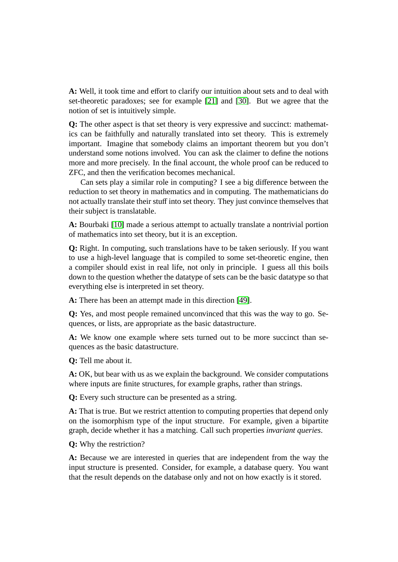**A:** Well, it took time and effort to clarify our intuition about sets and to deal with set-theoretic paradoxes; see for example [\[21\]](#page-15-0) and [\[30\]](#page-16-1). But we agree that the notion of set is intuitively simple.

**Q:** The other aspect is that set theory is very expressive and succinct: mathematics can be faithfully and naturally translated into set theory. This is extremely important. Imagine that somebody claims an important theorem but you don't understand some notions involved. You can ask the claimer to define the notions more and more precisely. In the final account, the whole proof can be reduced to ZFC, and then the verification becomes mechanical.

Can sets play a similar role in computing? I see a big difference between the reduction to set theory in mathematics and in computing. The mathematicians do not actually translate their stuff into set theory. They just convince themselves that their subject is translatable.

**A:** Bourbaki [\[10\]](#page-15-1) made a serious attempt to actually translate a nontrivial portion of mathematics into set theory, but it is an exception.

**Q:** Right. In computing, such translations have to be taken seriously. If you want to use a high-level language that is compiled to some set-theoretic engine, then a compiler should exist in real life, not only in principle. I guess all this boils down to the question whether the datatype of sets can be the basic datatype so that everything else is interpreted in set theory.

**A:** There has been an attempt made in this direction [\[49\]](#page-17-2).

**Q:** Yes, and most people remained unconvinced that this was the way to go. Sequences, or lists, are appropriate as the basic datastructure.

**A:** We know one example where sets turned out to be more succinct than sequences as the basic datastructure.

**Q:** Tell me about it.

**A:** OK, but bear with us as we explain the background. We consider computations where inputs are finite structures, for example graphs, rather than strings.

**Q:** Every such structure can be presented as a string.

**A:** That is true. But we restrict attention to computing properties that depend only on the isomorphism type of the input structure. For example, given a bipartite graph, decide whether it has a matching. Call such properties *invariant queries*.

**Q:** Why the restriction?

**A:** Because we are interested in queries that are independent from the way the input structure is presented. Consider, for example, a database query. You want that the result depends on the database only and not on how exactly is it stored.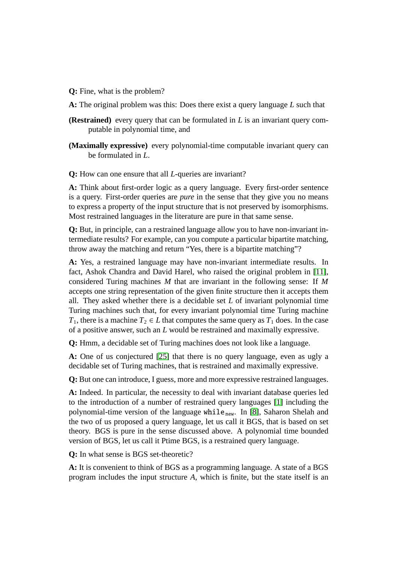- **Q:** Fine, what is the problem?
- **A:** The original problem was this: Does there exist a query language *L* such that
- **(Restrained)** every query that can be formulated in *L* is an invariant query computable in polynomial time, and
- **(Maximally expressive)** every polynomial-time computable invariant query can be formulated in *L*.
- **Q:** How can one ensure that all *L*-queries are invariant?

**A:** Think about first-order logic as a query language. Every first-order sentence is a query. First-order queries are *pure* in the sense that they give you no means to express a property of the input structure that is not preserved by isomorphisms. Most restrained languages in the literature are pure in that same sense.

**Q:** But, in principle, can a restrained language allow you to have non-invariant intermediate results? For example, can you compute a particular bipartite matching, throw away the matching and return "Yes, there is a bipartite matching"?

**A:** Yes, a restrained language may have non-invariant intermediate results. In fact, Ashok Chandra and David Harel, who raised the original problem in [\[11\]](#page-15-2), considered Turing machines *M* that are invariant in the following sense: If *M* accepts one string representation of the given finite structure then it accepts them all. They asked whether there is a decidable set *L* of invariant polynomial time Turing machines such that, for every invariant polynomial time Turing machine *T*<sub>1</sub>, there is a machine  $T_2 \in L$  that computes the same query as  $T_1$  does. In the case of a positive answer, such an *L* would be restrained and maximally expressive.

**Q:** Hmm, a decidable set of Turing machines does not look like a language.

**A:** One of us conjectured [\[25\]](#page-16-2) that there is no query language, even as ugly a decidable set of Turing machines, that is restrained and maximally expressive.

**Q:** But one can introduce, I guess, more and more expressive restrained languages.

**A:** Indeed. In particular, the necessity to deal with invariant database queries led to the introduction of a number of restrained query languages [\[1\]](#page-14-0) including the polynomial-time version of the language while<sub>new</sub>. In [\[8\]](#page-15-3), Saharon Shelah and the two of us proposed a query language, let us call it BGS, that is based on set theory. BGS is pure in the sense discussed above. A polynomial time bounded version of BGS, let us call it Ptime BGS, is a restrained query language.

**Q:** In what sense is BGS set-theoretic?

**A:** It is convenient to think of BGS as a programming language. A state of a BGS program includes the input structure *A*, which is finite, but the state itself is an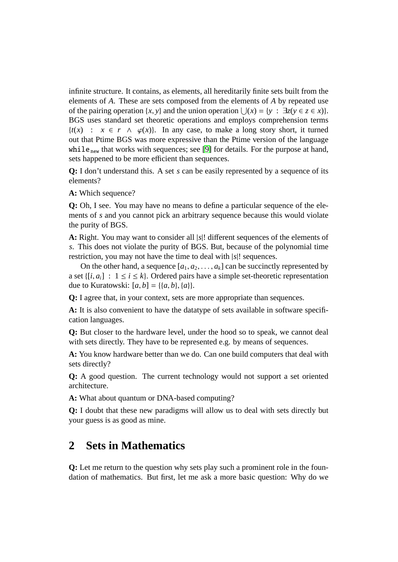infinite structure. It contains, as elements, all hereditarily finite sets built from the elements of *A*. These are sets composed from the elements of *A* by repeated use of the pairing operation  $\{x, y\}$  and the union operation  $\bigcup (x) = \{y : \exists z (y \in z \in x)\}\)$ .<br>RGS uses standard set theoretic operations and employs comprehension terms BGS uses standard set theoretic operations and employs comprehension terms { $t(x)$  : *x* ∈ *r* ∧  $\varphi(x)$ }. In any case, to make a long story short, it turned out that Ptime BGS was more expressive than the Ptime version of the language while<sub>new</sub> that works with sequences; see [\[9\]](#page-15-4) for details. For the purpose at hand, sets happened to be more efficient than sequences.

**Q:** I don't understand this. A set *s* can be easily represented by a sequence of its elements?

**A:** Which sequence?

**Q:** Oh, I see. You may have no means to define a particular sequence of the elements of *s* and you cannot pick an arbitrary sequence because this would violate the purity of BGS.

**A:** Right. You may want to consider all |*s*|! different sequences of the elements of *s*. This does not violate the purity of BGS. But, because of the polynomial time restriction, you may not have the time to deal with |*s*|! sequences.

On the other hand, a sequence  $[a_1, a_2, \ldots, a_k]$  can be succinctly represented by a set  $\{[i, a_i] : 1 \le i \le k\}$ . Ordered pairs have a simple set-theoretic representation due to Kuratowski:  $[a, b] = \{(a, b), \{a\}\}.$ 

**Q:** I agree that, in your context, sets are more appropriate than sequences.

**A:** It is also convenient to have the datatype of sets available in software specification languages.

**Q:** But closer to the hardware level, under the hood so to speak, we cannot deal with sets directly. They have to be represented e.g. by means of sequences.

**A:** You know hardware better than we do. Can one build computers that deal with sets directly?

**Q:** A good question. The current technology would not support a set oriented architecture.

**A:** What about quantum or DNA-based computing?

**Q:** I doubt that these new paradigms will allow us to deal with sets directly but your guess is as good as mine.

## **2 Sets in Mathematics**

**Q:** Let me return to the question why sets play such a prominent role in the foundation of mathematics. But first, let me ask a more basic question: Why do we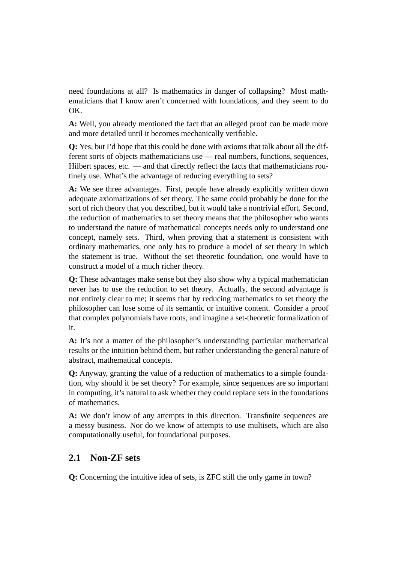need foundations at all? Is mathematics in danger of collapsing? Most mathematicians that I know aren't concerned with foundations, and they seem to do OK.

**A:** Well, you already mentioned the fact that an alleged proof can be made more and more detailed until it becomes mechanically verifiable.

**Q:** Yes, but I'd hope that this could be done with axioms that talk about all the different sorts of objects mathematicians use — real numbers, functions, sequences, Hilbert spaces, etc. — and that directly reflect the facts that mathematicians routinely use. What's the advantage of reducing everything to sets?

**A:** We see three advantages. First, people have already explicitly written down adequate axiomatizations of set theory. The same could probably be done for the sort of rich theory that you described, but it would take a nontrivial effort. Second, the reduction of mathematics to set theory means that the philosopher who wants to understand the nature of mathematical concepts needs only to understand one concept, namely sets. Third, when proving that a statement is consistent with ordinary mathematics, one only has to produce a model of set theory in which the statement is true. Without the set theoretic foundation, one would have to construct a model of a much richer theory.

**Q:** These advantages make sense but they also show why a typical mathematician never has to use the reduction to set theory. Actually, the second advantage is not entirely clear to me; it seems that by reducing mathematics to set theory the philosopher can lose some of its semantic or intuitive content. Consider a proof that complex polynomials have roots, and imagine a set-theoretic formalization of it.

**A:** It's not a matter of the philosopher's understanding particular mathematical results or the intuition behind them, but rather understanding the general nature of abstract, mathematical concepts.

**Q:** Anyway, granting the value of a reduction of mathematics to a simple foundation, why should it be set theory? For example, since sequences are so important in computing, it's natural to ask whether they could replace sets in the foundations of mathematics.

**A:** We don't know of any attempts in this direction. Transfinite sequences are a messy business. Nor do we know of attempts to use multisets, which are also computationally useful, for foundational purposes.

### **2.1 Non-ZF sets**

**Q:** Concerning the intuitive idea of sets, is ZFC still the only game in town?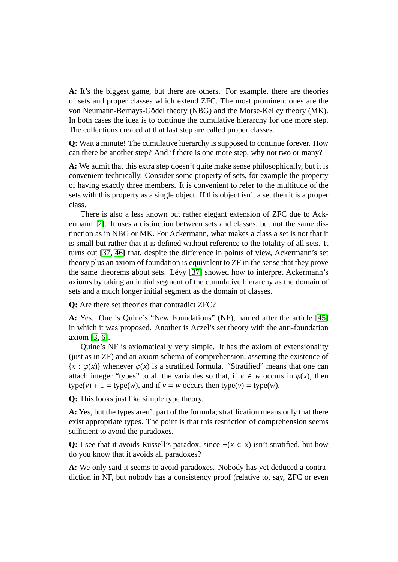**A:** It's the biggest game, but there are others. For example, there are theories of sets and proper classes which extend ZFC. The most prominent ones are the von Neumann-Bernays-Gödel theory (NBG) and the Morse-Kelley theory (MK). In both cases the idea is to continue the cumulative hierarchy for one more step. The collections created at that last step are called proper classes.

**Q:** Wait a minute! The cumulative hierarchy is supposed to continue forever. How can there be another step? And if there is one more step, why not two or many?

**A:** We admit that this extra step doesn't quite make sense philosophically, but it is convenient technically. Consider some property of sets, for example the property of having exactly three members. It is convenient to refer to the multitude of the sets with this property as a single object. If this object isn't a set then it is a proper class.

There is also a less known but rather elegant extension of ZFC due to Ackermann [\[2\]](#page-14-1). It uses a distinction between sets and classes, but not the same distinction as in NBG or MK. For Ackermann, what makes a class a set is not that it is small but rather that it is defined without reference to the totality of all sets. It turns out [\[37,](#page-16-3) [46\]](#page-17-3) that, despite the difference in points of view, Ackermann's set theory plus an axiom of foundation is equivalent to ZF in the sense that they prove the same theorems about sets. Lévy [\[37\]](#page-16-3) showed how to interpret Ackermann's axioms by taking an initial segment of the cumulative hierarchy as the domain of sets and a much longer initial segment as the domain of classes.

**Q:** Are there set theories that contradict ZFC?

**A:** Yes. One is Quine's "New Foundations" (NF), named after the article [\[45\]](#page-17-4) in which it was proposed. Another is Aczel's set theory with the anti-foundation axiom [\[3,](#page-14-2) [6\]](#page-15-5).

Quine's NF is axiomatically very simple. It has the axiom of extensionality (just as in ZF) and an axiom schema of comprehension, asserting the existence of  ${x : \varphi(x)}$  whenever  $\varphi(x)$  is a stratified formula. "Stratified" means that one can attach integer "types" to all the variables so that, if  $v \in w$  occurs in  $\varphi(x)$ , then  $type(v) + 1 = type(w)$ , and if  $v = w$  occurs then  $type(v) = type(w)$ .

**Q:** This looks just like simple type theory.

**A:** Yes, but the types aren't part of the formula; stratification means only that there exist appropriate types. The point is that this restriction of comprehension seems sufficient to avoid the paradoxes.

Q: I see that it avoids Russell's paradox, since  $\neg(x \in x)$  isn't stratified, but how do you know that it avoids all paradoxes?

**A:** We only said it seems to avoid paradoxes. Nobody has yet deduced a contradiction in NF, but nobody has a consistency proof (relative to, say, ZFC or even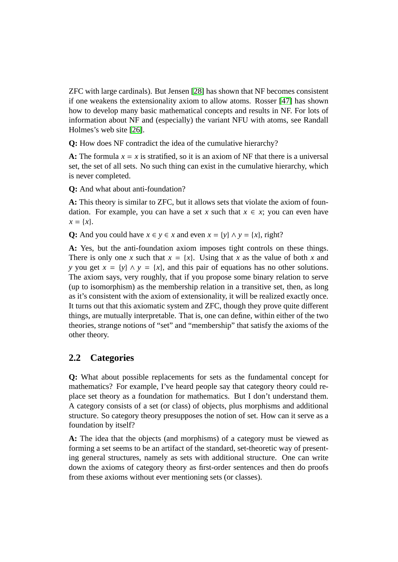ZFC with large cardinals). But Jensen [\[28\]](#page-16-4) has shown that NF becomes consistent if one weakens the extensionality axiom to allow atoms. Rosser [\[47\]](#page-17-5) has shown how to develop many basic mathematical concepts and results in NF. For lots of information about NF and (especially) the variant NFU with atoms, see Randall Holmes's web site [\[26\]](#page-16-5).

**Q:** How does NF contradict the idea of the cumulative hierarchy?

**A:** The formula  $x = x$  is stratified, so it is an axiom of NF that there is a universal set, the set of all sets. No such thing can exist in the cumulative hierarchy, which is never completed.

**Q:** And what about anti-foundation?

**A:** This theory is similar to ZFC, but it allows sets that violate the axiom of foundation. For example, you can have a set *x* such that  $x \in x$ ; you can even have  $x = \{x\}.$ 

**Q:** And you could have  $x \in y \in x$  and even  $x = \{y\} \wedge y = \{x\}$ , right?

**A:** Yes, but the anti-foundation axiom imposes tight controls on these things. There is only one *x* such that  $x = \{x\}$ . Using that *x* as the value of both *x* and *y* you get  $x = \{y\} \wedge y = \{x\}$ , and this pair of equations has no other solutions. The axiom says, very roughly, that if you propose some binary relation to serve (up to isomorphism) as the membership relation in a transitive set, then, as long as it's consistent with the axiom of extensionality, it will be realized exactly once. It turns out that this axiomatic system and ZFC, though they prove quite different things, are mutually interpretable. That is, one can define, within either of the two theories, strange notions of "set" and "membership" that satisfy the axioms of the other theory.

### **2.2 Categories**

**Q:** What about possible replacements for sets as the fundamental concept for mathematics? For example, I've heard people say that category theory could replace set theory as a foundation for mathematics. But I don't understand them. A category consists of a set (or class) of objects, plus morphisms and additional structure. So category theory presupposes the notion of set. How can it serve as a foundation by itself?

**A:** The idea that the objects (and morphisms) of a category must be viewed as forming a set seems to be an artifact of the standard, set-theoretic way of presenting general structures, namely as sets with additional structure. One can write down the axioms of category theory as first-order sentences and then do proofs from these axioms without ever mentioning sets (or classes).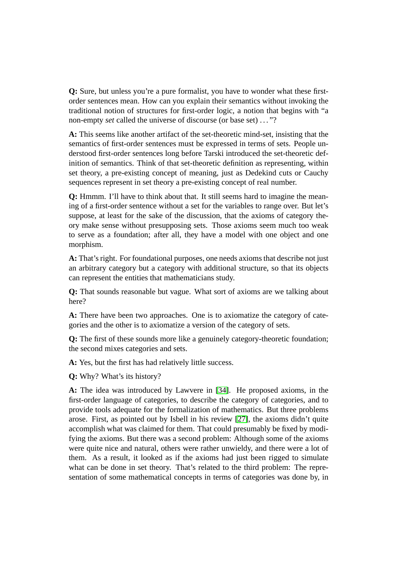**Q:** Sure, but unless you're a pure formalist, you have to wonder what these firstorder sentences mean. How can you explain their semantics without invoking the traditional notion of structures for first-order logic, a notion that begins with "a non-empty *set* called the universe of discourse (or base set) . . . "?

**A:** This seems like another artifact of the set-theoretic mind-set, insisting that the semantics of first-order sentences must be expressed in terms of sets. People understood first-order sentences long before Tarski introduced the set-theoretic definition of semantics. Think of that set-theoretic definition as representing, within set theory, a pre-existing concept of meaning, just as Dedekind cuts or Cauchy sequences represent in set theory a pre-existing concept of real number.

**Q:** Hmmm. I'll have to think about that. It still seems hard to imagine the meaning of a first-order sentence without a set for the variables to range over. But let's suppose, at least for the sake of the discussion, that the axioms of category theory make sense without presupposing sets. Those axioms seem much too weak to serve as a foundation; after all, they have a model with one object and one morphism.

**A:** That's right. For foundational purposes, one needs axioms that describe not just an arbitrary category but a category with additional structure, so that its objects can represent the entities that mathematicians study.

**Q:** That sounds reasonable but vague. What sort of axioms are we talking about here?

**A:** There have been two approaches. One is to axiomatize the category of categories and the other is to axiomatize a version of the category of sets.

**Q:** The first of these sounds more like a genuinely category-theoretic foundation; the second mixes categories and sets.

**A:** Yes, but the first has had relatively little success.

**Q:** Why? What's its history?

**A:** The idea was introduced by Lawvere in [\[34\]](#page-16-6). He proposed axioms, in the first-order language of categories, to describe the category of categories, and to provide tools adequate for the formalization of mathematics. But three problems arose. First, as pointed out by Isbell in his review [\[27\]](#page-16-7), the axioms didn't quite accomplish what was claimed for them. That could presumably be fixed by modifying the axioms. But there was a second problem: Although some of the axioms were quite nice and natural, others were rather unwieldy, and there were a lot of them. As a result, it looked as if the axioms had just been rigged to simulate what can be done in set theory. That's related to the third problem: The representation of some mathematical concepts in terms of categories was done by, in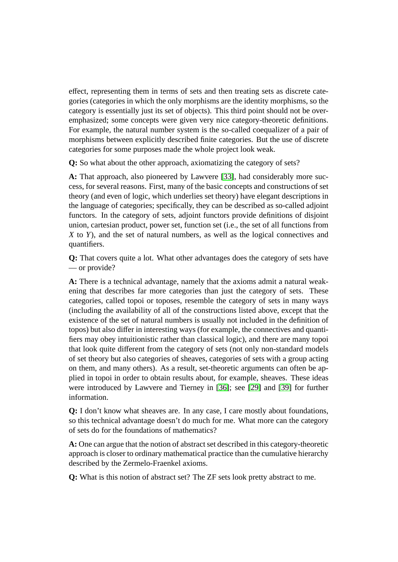effect, representing them in terms of sets and then treating sets as discrete categories (categories in which the only morphisms are the identity morphisms, so the category is essentially just its set of objects). This third point should not be overemphasized; some concepts were given very nice category-theoretic definitions. For example, the natural number system is the so-called coequalizer of a pair of morphisms between explicitly described finite categories. But the use of discrete categories for some purposes made the whole project look weak.

**Q:** So what about the other approach, axiomatizing the category of sets?

**A:** That approach, also pioneered by Lawvere [\[33\]](#page-16-8), had considerably more success, for several reasons. First, many of the basic concepts and constructions of set theory (and even of logic, which underlies set theory) have elegant descriptions in the language of categories; specifically, they can be described as so-called adjoint functors. In the category of sets, adjoint functors provide definitions of disjoint union, cartesian product, power set, function set (i.e., the set of all functions from *X* to *Y*), and the set of natural numbers, as well as the logical connectives and quantifiers.

**Q:** That covers quite a lot. What other advantages does the category of sets have — or provide?

**A:** There is a technical advantage, namely that the axioms admit a natural weakening that describes far more categories than just the category of sets. These categories, called topoi or toposes, resemble the category of sets in many ways (including the availability of all of the constructions listed above, except that the existence of the set of natural numbers is usually not included in the definition of topos) but also differ in interesting ways (for example, the connectives and quantifiers may obey intuitionistic rather than classical logic), and there are many topoi that look quite different from the category of sets (not only non-standard models of set theory but also categories of sheaves, categories of sets with a group acting on them, and many others). As a result, set-theoretic arguments can often be applied in topoi in order to obtain results about, for example, sheaves. These ideas were introduced by Lawvere and Tierney in [\[36\]](#page-16-9); see [\[29\]](#page-16-10) and [\[39\]](#page-16-11) for further information.

**Q:** I don't know what sheaves are. In any case, I care mostly about foundations, so this technical advantage doesn't do much for me. What more can the category of sets do for the foundations of mathematics?

**A:** One can argue that the notion of abstract set described in this category-theoretic approach is closer to ordinary mathematical practice than the cumulative hierarchy described by the Zermelo-Fraenkel axioms.

**Q:** What is this notion of abstract set? The ZF sets look pretty abstract to me.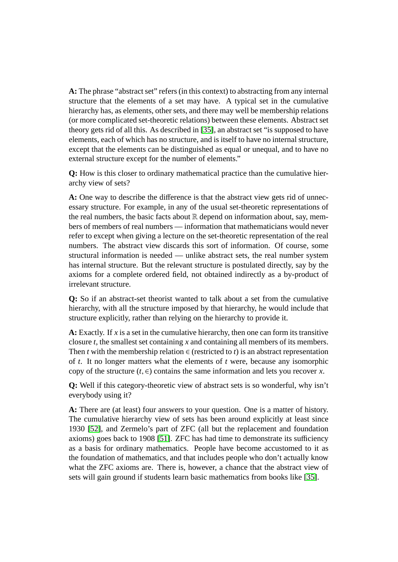**A:** The phrase "abstract set" refers (in this context) to abstracting from any internal structure that the elements of a set may have. A typical set in the cumulative hierarchy has, as elements, other sets, and there may well be membership relations (or more complicated set-theoretic relations) between these elements. Abstract set theory gets rid of all this. As described in [\[35\]](#page-16-12), an abstract set "is supposed to have elements, each of which has no structure, and is itself to have no internal structure, except that the elements can be distinguished as equal or unequal, and to have no external structure except for the number of elements."

**Q:** How is this closer to ordinary mathematical practice than the cumulative hierarchy view of sets?

**A:** One way to describe the difference is that the abstract view gets rid of unnecessary structure. For example, in any of the usual set-theoretic representations of the real numbers, the basic facts about  $\mathbb R$  depend on information about, say, members of members of real numbers — information that mathematicians would never refer to except when giving a lecture on the set-theoretic representation of the real numbers. The abstract view discards this sort of information. Of course, some structural information is needed — unlike abstract sets, the real number system has internal structure. But the relevant structure is postulated directly, say by the axioms for a complete ordered field, not obtained indirectly as a by-product of irrelevant structure.

**Q:** So if an abstract-set theorist wanted to talk about a set from the cumulative hierarchy, with all the structure imposed by that hierarchy, he would include that structure explicitly, rather than relying on the hierarchy to provide it.

A: Exactly. If  $x$  is a set in the cumulative hierarchy, then one can form its transitive closure *t*, the smallest set containing *x* and containing all members of its members. Then *t* with the membership relation  $\in$  (restricted to *t*) is an abstract representation of *t*. It no longer matters what the elements of *t* were, because any isomorphic copy of the structure  $(t, \in)$  contains the same information and lets you recover *x*.

**Q:** Well if this category-theoretic view of abstract sets is so wonderful, why isn't everybody using it?

**A:** There are (at least) four answers to your question. One is a matter of history. The cumulative hierarchy view of sets has been around explicitly at least since 1930 [\[52\]](#page-17-6), and Zermelo's part of ZFC (all but the replacement and foundation axioms) goes back to 1908 [\[51\]](#page-17-7). ZFC has had time to demonstrate its sufficiency as a basis for ordinary mathematics. People have become accustomed to it as the foundation of mathematics, and that includes people who don't actually know what the ZFC axioms are. There is, however, a chance that the abstract view of sets will gain ground if students learn basic mathematics from books like [\[35\]](#page-16-12).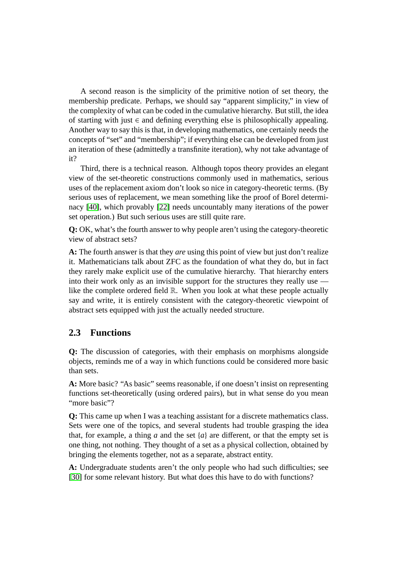A second reason is the simplicity of the primitive notion of set theory, the membership predicate. Perhaps, we should say "apparent simplicity," in view of the complexity of what can be coded in the cumulative hierarchy. But still, the idea of starting with just ∈ and defining everything else is philosophically appealing. Another way to say this is that, in developing mathematics, one certainly needs the concepts of "set" and "membership"; if everything else can be developed from just an iteration of these (admittedly a transfinite iteration), why not take advantage of it?

Third, there is a technical reason. Although topos theory provides an elegant view of the set-theoretic constructions commonly used in mathematics, serious uses of the replacement axiom don't look so nice in category-theoretic terms. (By serious uses of replacement, we mean something like the proof of Borel determinacy [\[40\]](#page-16-13), which provably [\[22\]](#page-15-6) needs uncountably many iterations of the power set operation.) But such serious uses are still quite rare.

**Q:** OK, what's the fourth answer to why people aren't using the category-theoretic view of abstract sets?

**A:** The fourth answer is that they *are* using this point of view but just don't realize it. Mathematicians talk about ZFC as the foundation of what they do, but in fact they rarely make explicit use of the cumulative hierarchy. That hierarchy enters into their work only as an invisible support for the structures they really use like the complete ordered field R. When you look at what these people actually say and write, it is entirely consistent with the category-theoretic viewpoint of abstract sets equipped with just the actually needed structure.

### **2.3 Functions**

**Q:** The discussion of categories, with their emphasis on morphisms alongside objects, reminds me of a way in which functions could be considered more basic than sets.

**A:** More basic? "As basic" seems reasonable, if one doesn't insist on representing functions set-theoretically (using ordered pairs), but in what sense do you mean "more basic"?

**Q:** This came up when I was a teaching assistant for a discrete mathematics class. Sets were one of the topics, and several students had trouble grasping the idea that, for example, a thing *a* and the set  $\{a\}$  are different, or that the empty set is one thing, not nothing. They thought of a set as a physical collection, obtained by bringing the elements together, not as a separate, abstract entity.

**A:** Undergraduate students aren't the only people who had such difficulties; see [\[30\]](#page-16-1) for some relevant history. But what does this have to do with functions?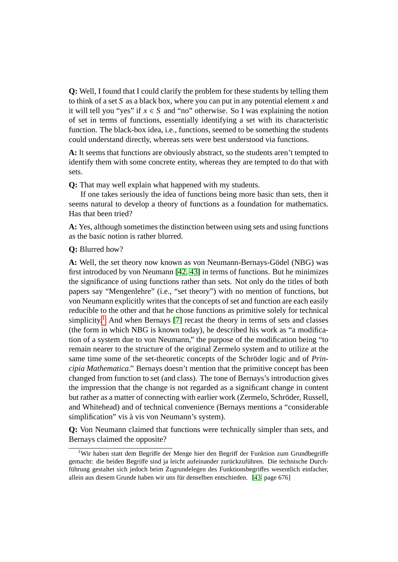**Q:** Well, I found that I could clarify the problem for these students by telling them to think of a set *S* as a black box, where you can put in any potential element *x* and it will tell you "yes" if  $x \in S$  and "no" otherwise. So I was explaining the notion of set in terms of functions, essentially identifying a set with its characteristic function. The black-box idea, i.e., functions, seemed to be something the students could understand directly, whereas sets were best understood via functions.

**A:** It seems that functions are obviously abstract, so the students aren't tempted to identify them with some concrete entity, whereas they are tempted to do that with sets.

**Q:** That may well explain what happened with my students.

If one takes seriously the idea of functions being more basic than sets, then it seems natural to develop a theory of functions as a foundation for mathematics. Has that been tried?

**A:** Yes, although sometimes the distinction between using sets and using functions as the basic notion is rather blurred.

#### **Q:** Blurred how?

**A:** Well, the set theory now known as von Neumann-Bernays-Gödel (NBG) was first introduced by von Neumann [\[42,](#page-17-8) [43\]](#page-17-9) in terms of functions. But he minimizes the significance of using functions rather than sets. Not only do the titles of both papers say "Mengenlehre" (i.e., "set theory") with no mention of functions, but von Neumann explicitly writes that the concepts of set and function are each easily reducible to the other and that he chose functions as primitive solely for technical simplicity.<sup>[1](#page-12-0)</sup> And when Bernays [\[7\]](#page-15-7) recast the theory in terms of sets and classes (the form in which NBG is known today), he described his work as "a modification of a system due to von Neumann," the purpose of the modification being "to remain nearer to the structure of the original Zermelo system and to utilize at the same time some of the set-theoretic concepts of the Schröder logic and of *Principia Mathematica*." Bernays doesn't mention that the primitive concept has been changed from function to set (and class). The tone of Bernays's introduction gives the impression that the change is not regarded as a significant change in content but rather as a matter of connecting with earlier work (Zermelo, Schröder, Russell, and Whitehead) and of technical convenience (Bernays mentions a "considerable simplification" vis à vis von Neumann's system).

**Q:** Von Neumann claimed that functions were technically simpler than sets, and Bernays claimed the opposite?

<span id="page-12-0"></span><sup>&</sup>lt;sup>1</sup>Wir haben statt dem Begriffe der Menge hier den Begriff der Funktion zum Grundbegriffe gemacht: die beiden Begriffe sind ja leicht aufeinander zurückzuführen. Die technische Durchführung gestaltet sich jedoch beim Zugrundelegen des Funktionsbegriffes wesentlich einfacher, allein aus diesem Grunde haben wir uns für denselben entschieden. [\[43,](#page-17-9) page 676]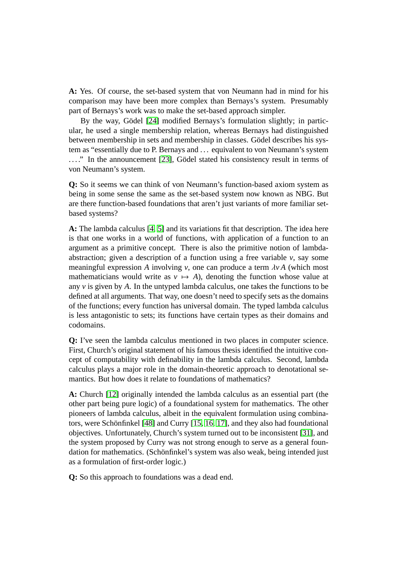**A:** Yes. Of course, the set-based system that von Neumann had in mind for his comparison may have been more complex than Bernays's system. Presumably part of Bernays's work was to make the set-based approach simpler.

By the way, Gödel [\[24\]](#page-16-14) modified Bernays's formulation slightly; in particular, he used a single membership relation, whereas Bernays had distinguished between membership in sets and membership in classes. Gödel describes his system as "essentially due to P. Bernays and . . . equivalent to von Neumann's system ...." In the announcement [\[23\]](#page-16-15), Gödel stated his consistency result in terms of von Neumann's system.

**Q:** So it seems we can think of von Neumann's function-based axiom system as being in some sense the same as the set-based system now known as NBG. But are there function-based foundations that aren't just variants of more familiar setbased systems?

**A:** The lambda calculus [\[4,](#page-14-3) [5\]](#page-14-4) and its variations fit that description. The idea here is that one works in a world of functions, with application of a function to an argument as a primitive concept. There is also the primitive notion of lambdaabstraction; given a description of a function using a free variable *v*, say some meaningful expression *A* involving *v*, one can produce a term  $\lambda v A$  (which most mathematicians would write as  $v \mapsto A$ ), denoting the function whose value at any *v* is given by *A*. In the untyped lambda calculus, one takes the functions to be defined at all arguments. That way, one doesn't need to specify sets as the domains of the functions; every function has universal domain. The typed lambda calculus is less antagonistic to sets; its functions have certain types as their domains and codomains.

**Q:** I've seen the lambda calculus mentioned in two places in computer science. First, Church's original statement of his famous thesis identified the intuitive concept of computability with definability in the lambda calculus. Second, lambda calculus plays a major role in the domain-theoretic approach to denotational semantics. But how does it relate to foundations of mathematics?

**A:** Church [\[12\]](#page-15-8) originally intended the lambda calculus as an essential part (the other part being pure logic) of a foundational system for mathematics. The other pioneers of lambda calculus, albeit in the equivalent formulation using combinators, were Schönfinkel [\[48\]](#page-17-10) and Curry [\[15,](#page-15-9) [16,](#page-15-10) [17\]](#page-15-11), and they also had foundational objectives. Unfortunately, Church's system turned out to be inconsistent [\[31\]](#page-16-16), and the system proposed by Curry was not strong enough to serve as a general foundation for mathematics. (Schönfinkel's system was also weak, being intended just as a formulation of first-order logic.)

**Q:** So this approach to foundations was a dead end.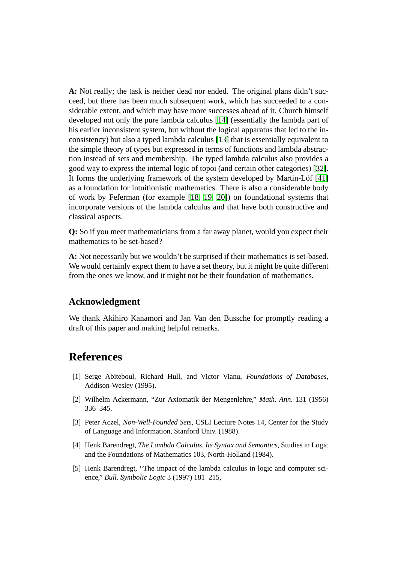**A:** Not really; the task is neither dead nor ended. The original plans didn't succeed, but there has been much subsequent work, which has succeeded to a considerable extent, and which may have more successes ahead of it. Church himself developed not only the pure lambda calculus [\[14\]](#page-15-12) (essentially the lambda part of his earlier inconsistent system, but without the logical apparatus that led to the inconsistency) but also a typed lambda calculus [\[13\]](#page-15-13) that is essentially equivalent to the simple theory of types but expressed in terms of functions and lambda abstraction instead of sets and membership. The typed lambda calculus also provides a good way to express the internal logic of topoi (and certain other categories) [\[32\]](#page-16-17). It forms the underlying framework of the system developed by Martin-Löf [\[41\]](#page-17-11) as a foundation for intuitionistic mathematics. There is also a considerable body of work by Feferman (for example [\[18,](#page-15-14) [19,](#page-15-15) [20\]](#page-15-16)) on foundational systems that incorporate versions of the lambda calculus and that have both constructive and classical aspects.

**Q:** So if you meet mathematicians from a far away planet, would you expect their mathematics to be set-based?

**A:** Not necessarily but we wouldn't be surprised if their mathematics is set-based. We would certainly expect them to have a set theory, but it might be quite different from the ones we know, and it might not be their foundation of mathematics.

#### **Acknowledgment**

We thank Akihiro Kanamori and Jan Van den Bussche for promptly reading a draft of this paper and making helpful remarks.

## **References**

- <span id="page-14-0"></span>[1] Serge Abiteboul, Richard Hull, and Victor Vianu, *Foundations of Databases*, Addison-Wesley (1995).
- <span id="page-14-1"></span>[2] Wilhelm Ackermann, "Zur Axiomatik der Mengenlehre," *Math. Ann.* 131 (1956) 336–345.
- <span id="page-14-2"></span>[3] Peter Aczel, *Non-Well-Founded Sets*, CSLI Lecture Notes 14, Center for the Study of Language and Information, Stanford Univ. (1988).
- <span id="page-14-3"></span>[4] Henk Barendregt, *The Lambda Calculus. Its Syntax and Semantics*, Studies in Logic and the Foundations of Mathematics 103, North-Holland (1984).
- <span id="page-14-4"></span>[5] Henk Barendregt, "The impact of the lambda calculus in logic and computer science," *Bull. Symbolic Logic* 3 (1997) 181–215,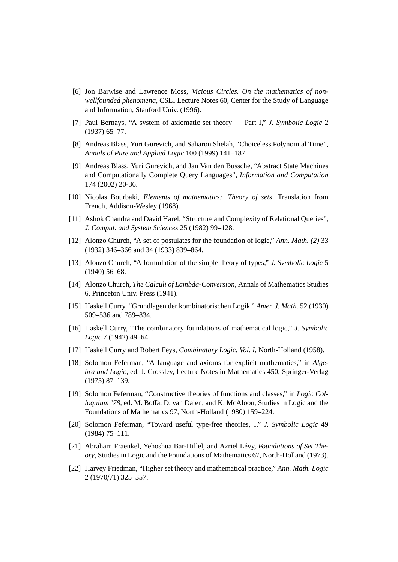- <span id="page-15-5"></span>[6] Jon Barwise and Lawrence Moss, *Vicious Circles. On the mathematics of nonwellfounded phenomena,* CSLI Lecture Notes 60, Center for the Study of Language and Information, Stanford Univ. (1996).
- <span id="page-15-7"></span>[7] Paul Bernays, "A system of axiomatic set theory — Part I," *J. Symbolic Logic* 2 (1937) 65–77.
- <span id="page-15-3"></span>[8] Andreas Blass, Yuri Gurevich, and Saharon Shelah, "Choiceless Polynomial Time", *Annals of Pure and Applied Logic* 100 (1999) 141–187.
- <span id="page-15-4"></span>[9] Andreas Blass, Yuri Gurevich, and Jan Van den Bussche, "Abstract State Machines and Computationally Complete Query Languages", *Information and Computation* 174 (2002) 20-36.
- <span id="page-15-1"></span>[10] Nicolas Bourbaki, *Elements of mathematics: Theory of sets*, Translation from French, Addison-Wesley (1968).
- <span id="page-15-2"></span>[11] Ashok Chandra and David Harel, "Structure and Complexity of Relational Queries", *J. Comput. and System Sciences* 25 (1982) 99–128.
- <span id="page-15-8"></span>[12] Alonzo Church, "A set of postulates for the foundation of logic," *Ann. Math. (2)* 33 (1932) 346–366 and 34 (1933) 839–864.
- <span id="page-15-13"></span>[13] Alonzo Church, "A formulation of the simple theory of types," *J. Symbolic Logic* 5 (1940) 56–68.
- <span id="page-15-12"></span>[14] Alonzo Church, *The Calculi of Lambda-Conversion,* Annals of Mathematics Studies 6, Princeton Univ. Press (1941).
- <span id="page-15-9"></span>[15] Haskell Curry, "Grundlagen der kombinatorischen Logik," *Amer. J. Math.* 52 (1930) 509–536 and 789–834.
- <span id="page-15-10"></span>[16] Haskell Curry, "The combinatory foundations of mathematical logic," *J. Symbolic Logic* 7 (1942) 49–64.
- <span id="page-15-11"></span>[17] Haskell Curry and Robert Feys, *Combinatory Logic. Vol. I,* North-Holland (1958).
- <span id="page-15-14"></span>[18] Solomon Feferman, "A language and axioms for explicit mathematics," in *Algebra and Logic,* ed. J. Crossley, Lecture Notes in Mathematics 450, Springer-Verlag (1975) 87–139.
- <span id="page-15-15"></span>[19] Solomon Feferman, "Constructive theories of functions and classes," in *Logic Colloquium '78,* ed. M. Boffa, D. van Dalen, and K. McAloon, Studies in Logic and the Foundations of Mathematics 97, North-Holland (1980) 159–224.
- <span id="page-15-16"></span>[20] Solomon Feferman, "Toward useful type-free theories, I," *J. Symbolic Logic* 49 (1984) 75–111.
- <span id="page-15-0"></span>[21] Abraham Fraenkel, Yehoshua Bar-Hillel, and Azriel Lévy, *Foundations of Set Theory*, Studies in Logic and the Foundations of Mathematics 67, North-Holland (1973).
- <span id="page-15-6"></span>[22] Harvey Friedman, "Higher set theory and mathematical practice," *Ann. Math. Logic* 2 (1970/71) 325–357.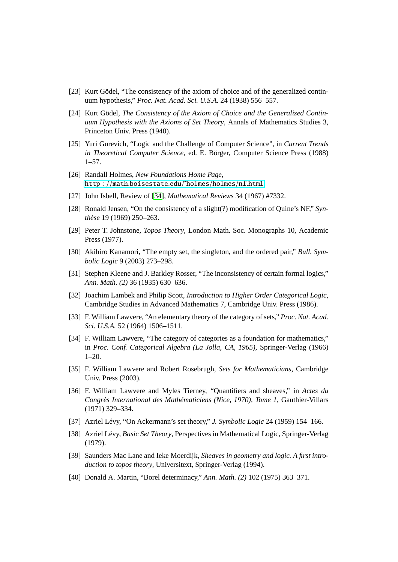- <span id="page-16-15"></span>[23] Kurt Gödel, "The consistency of the axiom of choice and of the generalized continuum hypothesis," *Proc. Nat. Acad. Sci. U.S.A.* 24 (1938) 556–557.
- <span id="page-16-14"></span>[24] Kurt Gödel, *The Consistency of the Axiom of Choice and the Generalized Continuum Hypothesis with the Axioms of Set Theory*, Annals of Mathematics Studies 3, Princeton Univ. Press (1940).
- <span id="page-16-2"></span>[25] Yuri Gurevich, "Logic and the Challenge of Computer Science", in *Current Trends in Theoretical Computer Science*, ed. E. Börger, Computer Science Press (1988) 1–57.
- <span id="page-16-5"></span>[26] Randall Holmes, *New Foundations Home Page,* http : //math.[boisestate](http://math.boisestate.edu/~holmes/holmes/nf.html).edu/˜holmes/holmes/nf.html.
- <span id="page-16-7"></span>[27] John Isbell, Review of [\[34\]](#page-16-6), *Mathematical Reviews* 34 (1967) #7332.
- <span id="page-16-4"></span>[28] Ronald Jensen, "On the consistency of a slight(?) modification of Quine's NF," *Synthèse* 19 (1969) 250–263.
- <span id="page-16-10"></span>[29] Peter T. Johnstone, *Topos Theory*, London Math. Soc. Monographs 10, Academic Press (1977).
- <span id="page-16-1"></span>[30] Akihiro Kanamori, "The empty set, the singleton, and the ordered pair," *Bull. Symbolic Logic* 9 (2003) 273–298.
- <span id="page-16-16"></span>[31] Stephen Kleene and J. Barkley Rosser, "The inconsistency of certain formal logics," *Ann. Math. (2)* 36 (1935) 630–636.
- <span id="page-16-17"></span>[32] Joachim Lambek and Philip Scott, *Introduction to Higher Order Categorical Logic,* Cambridge Studies in Advanced Mathematics 7, Cambridge Univ. Press (1986).
- <span id="page-16-8"></span>[33] F. William Lawvere, "An elementary theory of the category of sets," *Proc. Nat. Acad. Sci. U.S.A.* 52 (1964) 1506–1511.
- <span id="page-16-6"></span>[34] F. William Lawvere, "The category of categories as a foundation for mathematics," in *Proc. Conf. Categorical Algebra (La Jolla, CA, 1965),* Springer-Verlag (1966) 1–20.
- <span id="page-16-12"></span>[35] F. William Lawvere and Robert Rosebrugh, *Sets for Mathematicians*, Cambridge Univ. Press (2003).
- <span id="page-16-9"></span>[36] F. William Lawvere and Myles Tierney, "Quantifiers and sheaves," in *Actes du Congrès International des Mathématiciens (Nice, 1970), Tome 1*, Gauthier-Villars (1971) 329–334.
- <span id="page-16-3"></span>[37] Azriel Lévy, "On Ackermann's set theory," *J. Symbolic Logic* 24 (1959) 154–166.
- <span id="page-16-0"></span>[38] Azriel Lévy, *Basic Set Theory*, Perspectives in Mathematical Logic, Springer-Verlag (1979).
- <span id="page-16-11"></span>[39] Saunders Mac Lane and Ieke Moerdijk, *Sheaves in geometry and logic. A first introduction to topos theory*, Universitext, Springer-Verlag (1994).
- <span id="page-16-13"></span>[40] Donald A. Martin, "Borel determinacy," *Ann. Math. (2)* 102 (1975) 363–371.